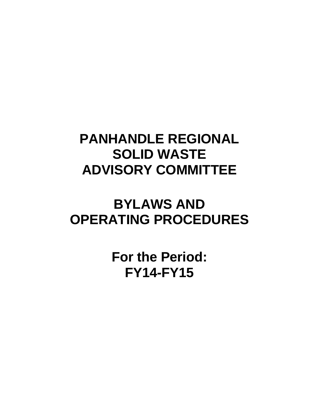# **PANHANDLE REGIONAL SOLID WASTE ADVISORY COMMITTEE**

# **BYLAWS AND OPERATING PROCEDURES**

**For the Period: FY14-FY15**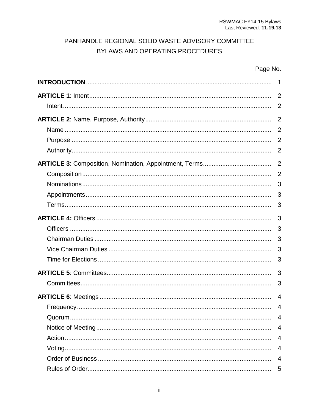### PANHANDLE REGIONAL SOLID WASTE ADVISORY COMMITTEE BYLAWS AND OPERATING PROCEDURES

### Page No.

| 1              |
|----------------|
| 2              |
| 2              |
| $\overline{2}$ |
| 2              |
| $\overline{2}$ |
| 2              |
| $\overline{2}$ |
| $\overline{2}$ |
| 3              |
| 3              |
| 3              |
| 3              |
| 3              |
| 3              |
| 3              |
| 3              |
| 3              |
| 3              |
| $\overline{4}$ |
| 4              |
| 4              |
| $\overline{4}$ |
| $\overline{4}$ |
| $\overline{4}$ |
| $\overline{4}$ |
| $\overline{5}$ |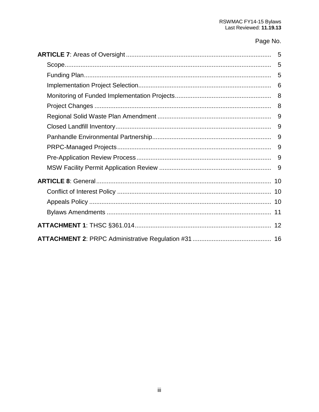#### Page No.

| 9 |
|---|
|   |
| 9 |
|   |
|   |
|   |
|   |
|   |
|   |
|   |
|   |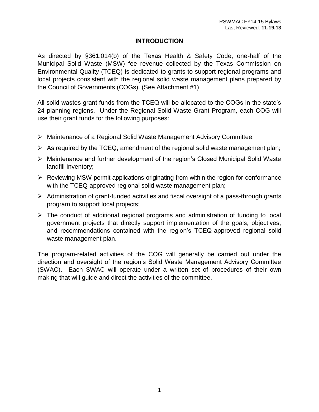#### **INTRODUCTION**

As directed by §361.014(b) of the Texas Health & Safety Code, one-half of the Municipal Solid Waste (MSW) fee revenue collected by the Texas Commission on Environmental Quality (TCEQ) is dedicated to grants to support regional programs and local projects consistent with the regional solid waste management plans prepared by the Council of Governments (COGs). (See Attachment #1)

All solid wastes grant funds from the TCEQ will be allocated to the COGs in the state's 24 planning regions. Under the Regional Solid Waste Grant Program, each COG will use their grant funds for the following purposes:

- Maintenance of a Regional Solid Waste Management Advisory Committee;
- $\triangleright$  As required by the TCEQ, amendment of the regional solid waste management plan;
- Maintenance and further development of the region's Closed Municipal Solid Waste landfill Inventory;
- $\triangleright$  Reviewing MSW permit applications originating from within the region for conformance with the TCEQ-approved regional solid waste management plan;
- $\triangleright$  Administration of grant-funded activities and fiscal oversight of a pass-through grants program to support local projects;
- $\triangleright$  The conduct of additional regional programs and administration of funding to local government projects that directly support implementation of the goals, objectives, and recommendations contained with the region's TCEQ-approved regional solid waste management plan.

The program-related activities of the COG will generally be carried out under the direction and oversight of the region's Solid Waste Management Advisory Committee (SWAC). Each SWAC will operate under a written set of procedures of their own making that will guide and direct the activities of the committee.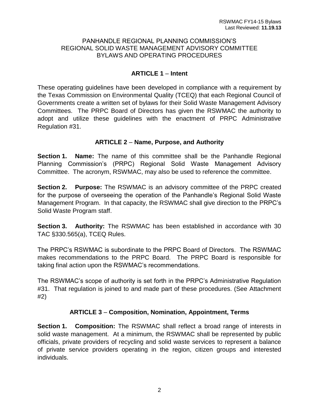#### PANHANDLE REGIONAL PLANNING COMMISSION'S REGIONAL SOLID WASTE MANAGEMENT ADVISORY COMMITTEE BYLAWS AND OPERATING PROCEDURES

#### **ARTICLE 1** – **Intent**

These operating guidelines have been developed in compliance with a requirement by the Texas Commission on Environmental Quality (TCEQ) that each Regional Council of Governments create a written set of bylaws for their Solid Waste Management Advisory Committees. The PRPC Board of Directors has given the RSWMAC the authority to adopt and utilize these guidelines with the enactment of PRPC Administrative Regulation #31.

#### **ARTICLE 2** – **Name, Purpose, and Authority**

**Section 1. Name:** The name of this committee shall be the Panhandle Regional Planning Commission's (PRPC) Regional Solid Waste Management Advisory Committee. The acronym, RSWMAC, may also be used to reference the committee.

**Section 2. Purpose:** The RSWMAC is an advisory committee of the PRPC created for the purpose of overseeing the operation of the Panhandle's Regional Solid Waste Management Program. In that capacity, the RSWMAC shall give direction to the PRPC's Solid Waste Program staff.

**Section 3. Authority:** The RSWMAC has been established in accordance with 30 TAC §330.565(a), TCEQ Rules.

The PRPC's RSWMAC is subordinate to the PRPC Board of Directors. The RSWMAC makes recommendations to the PRPC Board. The PRPC Board is responsible for taking final action upon the RSWMAC's recommendations.

The RSWMAC's scope of authority is set forth in the PRPC's Administrative Regulation #31. That regulation is joined to and made part of these procedures. (See Attachment #2)

#### **ARTICLE 3** – **Composition, Nomination, Appointment, Terms**

**Section 1. Composition:** The RSWMAC shall reflect a broad range of interests in solid waste management. At a minimum, the RSWMAC shall be represented by public officials, private providers of recycling and solid waste services to represent a balance of private service providers operating in the region, citizen groups and interested individuals.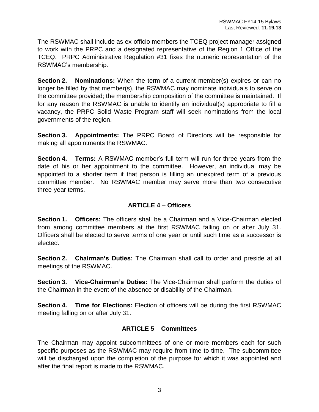The RSWMAC shall include as ex-officio members the TCEQ project manager assigned to work with the PRPC and a designated representative of the Region 1 Office of the TCEQ. PRPC Administrative Regulation #31 fixes the numeric representation of the RSWMAC's membership.

**Section 2. Nominations:** When the term of a current member(s) expires or can no longer be filled by that member(s), the RSWMAC may nominate individuals to serve on the committee provided; the membership composition of the committee is maintained. If for any reason the RSWMAC is unable to identify an individual(s) appropriate to fill a vacancy, the PRPC Solid Waste Program staff will seek nominations from the local governments of the region.

**Section 3. Appointments:** The PRPC Board of Directors will be responsible for making all appointments the RSWMAC.

**Section 4. Terms:** A RSWMAC member's full term will run for three years from the date of his or her appointment to the committee. However, an individual may be appointed to a shorter term if that person is filling an unexpired term of a previous committee member. No RSWMAC member may serve more than two consecutive three-year terms.

#### **ARTICLE 4** – **Officers**

**Section 1. Officers:** The officers shall be a Chairman and a Vice-Chairman elected from among committee members at the first RSWMAC falling on or after July 31. Officers shall be elected to serve terms of one year or until such time as a successor is elected.

**Section 2. Chairman's Duties:** The Chairman shall call to order and preside at all meetings of the RSWMAC.

**Section 3. Vice-Chairman's Duties:** The Vice-Chairman shall perform the duties of the Chairman in the event of the absence or disability of the Chairman.

**Section 4. Time for Elections:** Election of officers will be during the first RSWMAC meeting falling on or after July 31.

#### **ARTICLE 5** – **Committees**

The Chairman may appoint subcommittees of one or more members each for such specific purposes as the RSWMAC may require from time to time. The subcommittee will be discharged upon the completion of the purpose for which it was appointed and after the final report is made to the RSWMAC.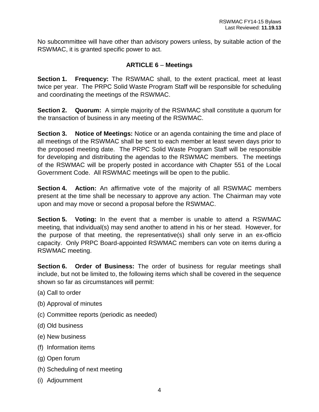No subcommittee will have other than advisory powers unless, by suitable action of the RSWMAC, it is granted specific power to act.

#### **ARTICLE 6** – **Meetings**

**Section 1. Frequency:** The RSWMAC shall, to the extent practical, meet at least twice per year. The PRPC Solid Waste Program Staff will be responsible for scheduling and coordinating the meetings of the RSWMAC.

**Section 2. Quorum:** A simple majority of the RSWMAC shall constitute a quorum for the transaction of business in any meeting of the RSWMAC.

**Section 3. Notice of Meetings:** Notice or an agenda containing the time and place of all meetings of the RSWMAC shall be sent to each member at least seven days prior to the proposed meeting date. The PRPC Solid Waste Program Staff will be responsible for developing and distributing the agendas to the RSWMAC members. The meetings of the RSWMAC will be properly posted in accordance with Chapter 551 of the Local Government Code. All RSWMAC meetings will be open to the public.

**Section 4. Action:** An affirmative vote of the majority of all RSWMAC members present at the time shall be necessary to approve any action. The Chairman may vote upon and may move or second a proposal before the RSWMAC.

**Section 5. Voting:** In the event that a member is unable to attend a RSWMAC meeting, that individual(s) may send another to attend in his or her stead. However, for the purpose of that meeting, the representative(s) shall only serve in an ex-officio capacity. Only PRPC Board-appointed RSWMAC members can vote on items during a RSWMAC meeting.

**Section 6. Order of Business:** The order of business for regular meetings shall include, but not be limited to, the following items which shall be covered in the sequence shown so far as circumstances will permit:

- (a) Call to order
- (b) Approval of minutes
- (c) Committee reports (periodic as needed)
- (d) Old business
- (e) New business
- (f) Information items
- (g) Open forum
- (h) Scheduling of next meeting
- (i) Adjournment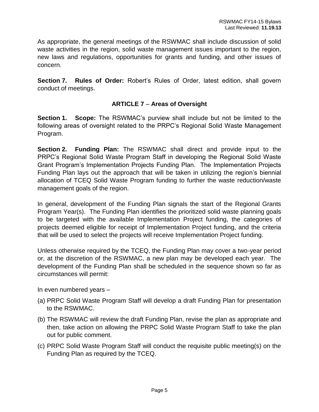As appropriate, the general meetings of the RSWMAC shall include discussion of solid waste activities in the region, solid waste management issues important to the region, new laws and regulations, opportunities for grants and funding, and other issues of concern.

**Section 7. Rules of Order:** Robert's Rules of Order, latest edition, shall govern conduct of meetings.

#### **ARTICLE 7** – **Areas of Oversight**

**Section 1. Scope:** The RSWMAC's purview shall include but not be limited to the following areas of oversight related to the PRPC's Regional Solid Waste Management Program.

**Section 2. Funding Plan:** The RSWMAC shall direct and provide input to the PRPC's Regional Solid Waste Program Staff in developing the Regional Solid Waste Grant Program's Implementation Projects Funding Plan. The Implementation Projects Funding Plan lays out the approach that will be taken in utilizing the region's biennial allocation of TCEQ Solid Waste Program funding to further the waste reduction/waste management goals of the region.

In general, development of the Funding Plan signals the start of the Regional Grants Program Year(s). The Funding Plan identifies the prioritized solid waste planning goals to be targeted with the available Implementation Project funding, the categories of projects deemed eligible for receipt of Implementation Project funding, and the criteria that will be used to select the projects will receive Implementation Project funding.

Unless otherwise required by the TCEQ, the Funding Plan may cover a two-year period or, at the discretion of the RSWMAC, a new plan may be developed each year. The development of the Funding Plan shall be scheduled in the sequence shown so far as circumstances will permit:

In even numbered years –

- (a) PRPC Solid Waste Program Staff will develop a draft Funding Plan for presentation to the RSWMAC.
- (b) The RSWMAC will review the draft Funding Plan, revise the plan as appropriate and then, take action on allowing the PRPC Solid Waste Program Staff to take the plan out for public comment.
- (c) PRPC Solid Waste Program Staff will conduct the requisite public meeting(s) on the Funding Plan as required by the TCEQ.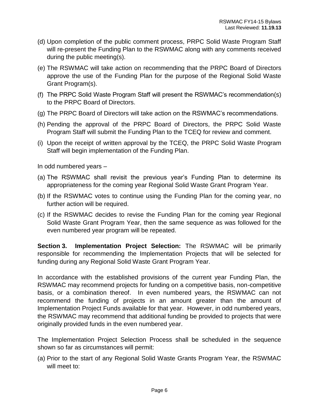- (d) Upon completion of the public comment process, PRPC Solid Waste Program Staff will re-present the Funding Plan to the RSWMAC along with any comments received during the public meeting(s).
- (e) The RSWMAC will take action on recommending that the PRPC Board of Directors approve the use of the Funding Plan for the purpose of the Regional Solid Waste Grant Program(s).
- (f) The PRPC Solid Waste Program Staff will present the RSWMAC's recommendation(s) to the PRPC Board of Directors.
- (g) The PRPC Board of Directors will take action on the RSWMAC's recommendations.
- (h) Pending the approval of the PRPC Board of Directors, the PRPC Solid Waste Program Staff will submit the Funding Plan to the TCEQ for review and comment.
- (i) Upon the receipt of written approval by the TCEQ, the PRPC Solid Waste Program Staff will begin implementation of the Funding Plan.

In odd numbered years –

- (a) The RSWMAC shall revisit the previous year's Funding Plan to determine its appropriateness for the coming year Regional Solid Waste Grant Program Year.
- (b) If the RSWMAC votes to continue using the Funding Plan for the coming year, no further action will be required.
- (c) If the RSWMAC decides to revise the Funding Plan for the coming year Regional Solid Waste Grant Program Year, then the same sequence as was followed for the even numbered year program will be repeated.

**Section 3. Implementation Project Selection:** The RSWMAC will be primarily responsible for recommending the Implementation Projects that will be selected for funding during any Regional Solid Waste Grant Program Year.

In accordance with the established provisions of the current year Funding Plan, the RSWMAC may recommend projects for funding on a competitive basis, non-competitive basis, or a combination thereof. In even numbered years, the RSWMAC can not recommend the funding of projects in an amount greater than the amount of Implementation Project Funds available for that year. However, in odd numbered years, the RSWMAC may recommend that additional funding be provided to projects that were originally provided funds in the even numbered year.

The Implementation Project Selection Process shall be scheduled in the sequence shown so far as circumstances will permit:

(a) Prior to the start of any Regional Solid Waste Grants Program Year, the RSWMAC will meet to: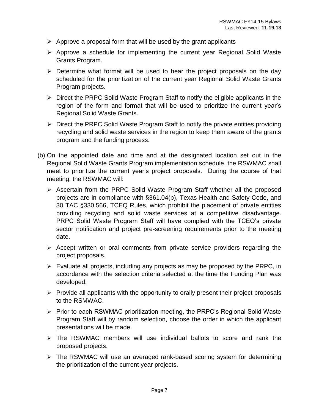- $\triangleright$  Approve a proposal form that will be used by the grant applicants
- $\triangleright$  Approve a schedule for implementing the current year Regional Solid Waste Grants Program.
- $\triangleright$  Determine what format will be used to hear the project proposals on the day scheduled for the prioritization of the current year Regional Solid Waste Grants Program projects.
- $\triangleright$  Direct the PRPC Solid Waste Program Staff to notify the eligible applicants in the region of the form and format that will be used to prioritize the current year's Regional Solid Waste Grants.
- $\triangleright$  Direct the PRPC Solid Waste Program Staff to notify the private entities providing recycling and solid waste services in the region to keep them aware of the grants program and the funding process.
- (b) On the appointed date and time and at the designated location set out in the Regional Solid Waste Grants Program implementation schedule, the RSWMAC shall meet to prioritize the current year's project proposals. During the course of that meeting, the RSWMAC will:
	- $\triangleright$  Ascertain from the PRPC Solid Waste Program Staff whether all the proposed projects are in compliance with §361.04(b), Texas Health and Safety Code, and 30 TAC §330.566, TCEQ Rules, which prohibit the placement of private entities providing recycling and solid waste services at a competitive disadvantage. PRPC Solid Waste Program Staff will have complied with the TCEQ's private sector notification and project pre-screening requirements prior to the meeting date.
	- $\triangleright$  Accept written or oral comments from private service providers regarding the project proposals.
	- $\triangleright$  Evaluate all projects, including any projects as may be proposed by the PRPC, in accordance with the selection criteria selected at the time the Funding Plan was developed.
	- $\triangleright$  Provide all applicants with the opportunity to orally present their project proposals to the RSMWAC.
	- $\triangleright$  Prior to each RSWMAC prioritization meeting, the PRPC's Regional Solid Waste Program Staff will by random selection, choose the order in which the applicant presentations will be made.
	- $\triangleright$  The RSWMAC members will use individual ballots to score and rank the proposed projects.
	- The RSWMAC will use an averaged rank-based scoring system for determining the prioritization of the current year projects.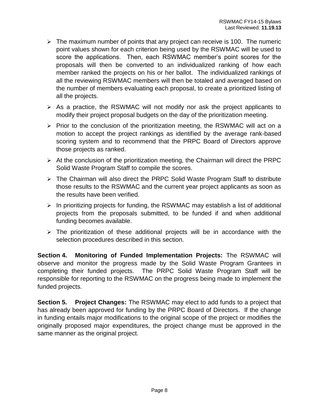- $\triangleright$  The maximum number of points that any project can receive is 100. The numeric point values shown for each criterion being used by the RSWMAC will be used to score the applications. Then, each RSWMAC member's point scores for the proposals will then be converted to an individualized ranking of how each member ranked the projects on his or her ballot. The individualized rankings of all the reviewing RSWMAC members will then be totaled and averaged based on the number of members evaluating each proposal, to create a prioritized listing of all the projects.
- $\triangleright$  As a practice, the RSWMAC will not modify nor ask the project applicants to modify their project proposal budgets on the day of the prioritization meeting.
- $\triangleright$  Prior to the conclusion of the prioritization meeting, the RSWMAC will act on a motion to accept the project rankings as identified by the average rank-based scoring system and to recommend that the PRPC Board of Directors approve those projects as ranked.
- $\triangleright$  At the conclusion of the prioritization meeting, the Chairman will direct the PRPC Solid Waste Program Staff to compile the scores.
- The Chairman will also direct the PRPC Solid Waste Program Staff to distribute those results to the RSWMAC and the current year project applicants as soon as the results have been verified.
- $\triangleright$  In prioritizing projects for funding, the RSWMAC may establish a list of additional projects from the proposals submitted, to be funded if and when additional funding becomes available.
- $\triangleright$  The prioritization of these additional projects will be in accordance with the selection procedures described in this section.

**Section 4. Monitoring of Funded Implementation Projects:** The RSWMAC will observe and monitor the progress made by the Solid Waste Program Grantees in completing their funded projects. The PRPC Solid Waste Program Staff will be responsible for reporting to the RSWMAC on the progress being made to implement the funded projects.

**Section 5. Project Changes:** The RSWMAC may elect to add funds to a project that has already been approved for funding by the PRPC Board of Directors. If the change in funding entails major modifications to the original scope of the project or modifies the originally proposed major expenditures, the project change must be approved in the same manner as the original project.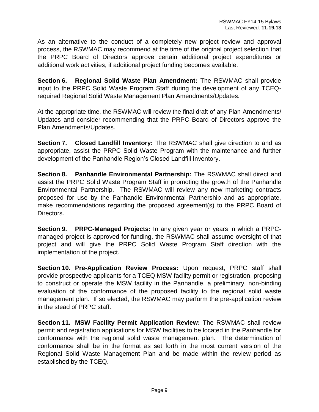As an alternative to the conduct of a completely new project review and approval process, the RSWMAC may recommend at the time of the original project selection that the PRPC Board of Directors approve certain additional project expenditures or additional work activities, if additional project funding becomes available.

**Section 6. Regional Solid Waste Plan Amendment:** The RSWMAC shall provide input to the PRPC Solid Waste Program Staff during the development of any TCEQrequired Regional Solid Waste Management Plan Amendments/Updates.

At the appropriate time, the RSWMAC will review the final draft of any Plan Amendments/ Updates and consider recommending that the PRPC Board of Directors approve the Plan Amendments/Updates.

**Section 7. Closed Landfill Inventory:** The RSWMAC shall give direction to and as appropriate, assist the PRPC Solid Waste Program with the maintenance and further development of the Panhandle Region's Closed Landfill Inventory.

**Section 8. Panhandle Environmental Partnership:** The RSWMAC shall direct and assist the PRPC Solid Waste Program Staff in promoting the growth of the Panhandle Environmental Partnership. The RSWMAC will review any new marketing contracts proposed for use by the Panhandle Environmental Partnership and as appropriate, make recommendations regarding the proposed agreement(s) to the PRPC Board of Directors.

**Section 9. PRPC-Managed Projects:** In any given year or years in which a PRPCmanaged project is approved for funding, the RSWMAC shall assume oversight of that project and will give the PRPC Solid Waste Program Staff direction with the implementation of the project.

**Section 10. Pre-Application Review Process:** Upon request, PRPC staff shall provide prospective applicants for a TCEQ MSW facility permit or registration, proposing to construct or operate the MSW facility in the Panhandle, a preliminary, non-binding evaluation of the conformance of the proposed facility to the regional solid waste management plan. If so elected, the RSWMAC may perform the pre-application review in the stead of PRPC staff.

**Section 11. MSW Facility Permit Application Review:** The RSWMAC shall review permit and registration applications for MSW facilities to be located in the Panhandle for conformance with the regional solid waste management plan. The determination of conformance shall be in the format as set forth in the most current version of the Regional Solid Waste Management Plan and be made within the review period as established by the TCEQ.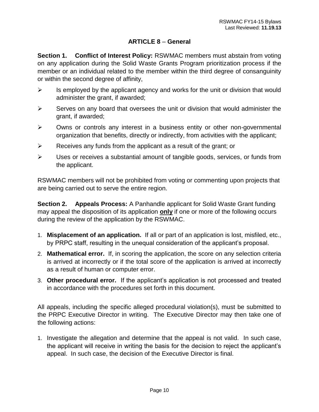#### **ARTICLE 8** – **General**

**Section 1. Conflict of Interest Policy:** RSWMAC members must abstain from voting on any application during the Solid Waste Grants Program prioritization process if the member or an individual related to the member within the third degree of consanguinity or within the second degree of affinity,

- $\triangleright$  Is employed by the applicant agency and works for the unit or division that would administer the grant, if awarded;
- $\triangleright$  Serves on any board that oversees the unit or division that would administer the grant, if awarded;
- $\triangleright$  Owns or controls any interest in a business entity or other non-governmental organization that benefits, directly or indirectly, from activities with the applicant;
- $\triangleright$  Receives any funds from the applicant as a result of the grant; or
- $\triangleright$  Uses or receives a substantial amount of tangible goods, services, or funds from the applicant.

RSWMAC members will not be prohibited from voting or commenting upon projects that are being carried out to serve the entire region.

**Section 2. Appeals Process:** A Panhandle applicant for Solid Waste Grant funding may appeal the disposition of its application **only** if one or more of the following occurs during the review of the application by the RSWMAC.

- 1. **Misplacement of an application.** If all or part of an application is lost, misfiled, etc., by PRPC staff, resulting in the unequal consideration of the applicant's proposal.
- 2. **Mathematical error.** If, in scoring the application, the score on any selection criteria is arrived at incorrectly or if the total score of the application is arrived at incorrectly as a result of human or computer error.
- 3. **Other procedural error.** If the applicant's application is not processed and treated in accordance with the procedures set forth in this document.

All appeals, including the specific alleged procedural violation(s), must be submitted to the PRPC Executive Director in writing. The Executive Director may then take one of the following actions:

1. Investigate the allegation and determine that the appeal is not valid. In such case, the applicant will receive in writing the basis for the decision to reject the applicant's appeal. In such case, the decision of the Executive Director is final.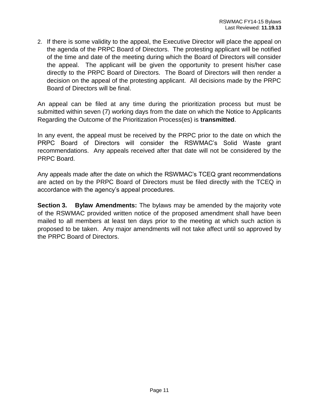2. If there is some validity to the appeal, the Executive Director will place the appeal on the agenda of the PRPC Board of Directors. The protesting applicant will be notified of the time and date of the meeting during which the Board of Directors will consider the appeal. The applicant will be given the opportunity to present his/her case directly to the PRPC Board of Directors. The Board of Directors will then render a decision on the appeal of the protesting applicant. All decisions made by the PRPC Board of Directors will be final.

An appeal can be filed at any time during the prioritization process but must be submitted within seven (7) working days from the date on which the Notice to Applicants Regarding the Outcome of the Prioritization Process(es) is **transmitted**.

In any event, the appeal must be received by the PRPC prior to the date on which the PRPC Board of Directors will consider the RSWMAC's Solid Waste grant recommendations. Any appeals received after that date will not be considered by the PRPC Board.

Any appeals made after the date on which the RSWMAC's TCEQ grant recommendations are acted on by the PRPC Board of Directors must be filed directly with the TCEQ in accordance with the agency's appeal procedures.

**Section 3. Bylaw Amendments:** The bylaws may be amended by the majority vote of the RSWMAC provided written notice of the proposed amendment shall have been mailed to all members at least ten days prior to the meeting at which such action is proposed to be taken. Any major amendments will not take affect until so approved by the PRPC Board of Directors.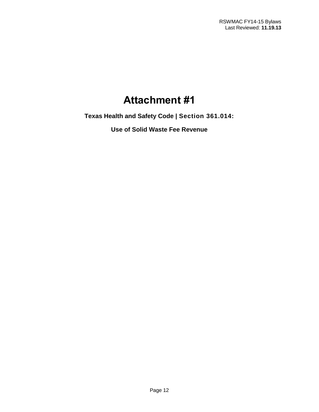## **Attachment #1**

**Texas Health and Safety Code | Section 361.014:**

**Use of Solid Waste Fee Revenue**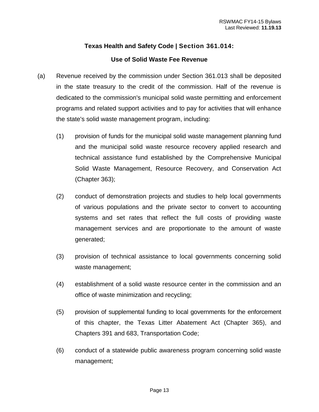#### **Texas Health and Safety Code | Section 361.014:**

#### **Use of Solid Waste Fee Revenue**

- (a) Revenue received by the commission under Section 361.013 shall be deposited in the state treasury to the credit of the commission. Half of the revenue is dedicated to the commission's municipal solid waste permitting and enforcement programs and related support activities and to pay for activities that will enhance the state's solid waste management program, including:
	- (1) provision of funds for the municipal solid waste management planning fund and the municipal solid waste resource recovery applied research and technical assistance fund established by the Comprehensive Municipal Solid Waste Management, Resource Recovery, and Conservation Act (Chapter 363);
	- (2) conduct of demonstration projects and studies to help local governments of various populations and the private sector to convert to accounting systems and set rates that reflect the full costs of providing waste management services and are proportionate to the amount of waste generated;
	- (3) provision of technical assistance to local governments concerning solid waste management;
	- (4) establishment of a solid waste resource center in the commission and an office of waste minimization and recycling;
	- (5) provision of supplemental funding to local governments for the enforcement of this chapter, the Texas Litter Abatement Act (Chapter 365), and Chapters 391 and 683, Transportation Code;
	- (6) conduct of a statewide public awareness program concerning solid waste management;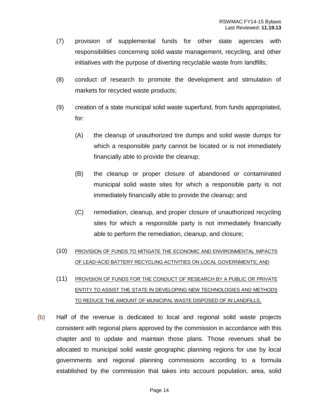- (7) provision of supplemental funds for other state agencies with responsibilities concerning solid waste management, recycling, and other initiatives with the purpose of diverting recyclable waste from landfills;
- (8) conduct of research to promote the development and stimulation of markets for recycled waste products;
- (9) creation of a state municipal solid waste superfund, from funds appropriated, for:
	- (A) the cleanup of unauthorized tire dumps and solid waste dumps for which a responsible party cannot be located or is not immediately financially able to provide the cleanup;
	- (B) the cleanup or proper closure of abandoned or contaminated municipal solid waste sites for which a responsible party is not immediately financially able to provide the cleanup; and
	- (C) remediation, cleanup, and proper closure of unauthorized recycling sites for which a responsible party is not immediately financially able to perform the remediation, cleanup, and closure;
- (10) PROVISION OF FUNDS TO MITIGATE THE ECONOMIC AND ENVIRONMENTAL IMPACTS OF LEAD-ACID BATTERY RECYCLING ACTIVITIES ON LOCAL GOVERNMENTS; AND
- (11) PROVISION OF FUNDS FOR THE CONDUCT OF RESEARCH BY A PUBLIC OR PRIVATE ENTITY TO ASSIST THE STATE IN DEVELOPING NEW TECHNOLOGIES AND METHODS TO REDUCE THE AMOUNT OF MUNICIPAL WASTE DISPOSED OF IN LANDFILLS.
- (b) Half of the revenue is dedicated to local and regional solid waste projects consistent with regional plans approved by the commission in accordance with this chapter and to update and maintain those plans. Those revenues shall be allocated to municipal solid waste geographic planning regions for use by local governments and regional planning commissions according to a formula established by the commission that takes into account population, area, solid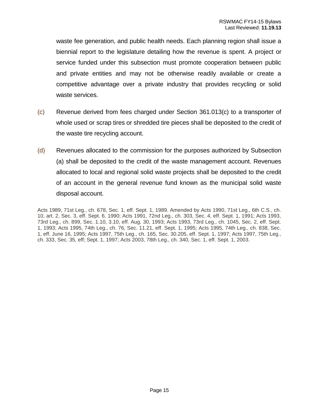waste fee generation, and public health needs. Each planning region shall issue a biennial report to the legislature detailing how the revenue is spent. A project or service funded under this subsection must promote cooperation between public and private entities and may not be otherwise readily available or create a competitive advantage over a private industry that provides recycling or solid waste services.

- (c) Revenue derived from fees charged under Section 361.013(c) to a transporter of whole used or scrap tires or shredded tire pieces shall be deposited to the credit of the waste tire recycling account.
- (d) Revenues allocated to the commission for the purposes authorized by Subsection (a) shall be deposited to the credit of the waste management account. Revenues allocated to local and regional solid waste projects shall be deposited to the credit of an account in the general revenue fund known as the municipal solid waste disposal account.

Acts 1989, 71st Leg., ch. 678, Sec. 1, eff. Sept. 1, 1989. Amended by Acts 1990, 71st Leg., 6th C.S., ch. 10, art. 2, Sec. 3, eff. Sept. 6, 1990; Acts 1991, 72nd Leg., ch. 303, Sec. 4, eff. Sept. 1, 1991; Acts 1993, 73rd Leg., ch. 899, Sec. 1.10, 3.10, eff. Aug. 30, 1993; Acts 1993, 73rd Leg., ch. 1045, Sec. 2, eff. Sept. 1, 1993; Acts 1995, 74th Leg., ch. 76, Sec. 11.21, eff. Sept. 1, 1995; Acts 1995, 74th Leg., ch. 838, Sec. 1, eff. June 16, 1995; Acts 1997, 75th Leg., ch. 165, Sec. 30.205, eff. Sept. 1, 1997; Acts 1997, 75th Leg., ch. 333, Sec. 35, eff; Sept. 1, 1997; Acts 2003, 78th Leg., ch. 340, Sec. 1, eff. Sept. 1, 2003.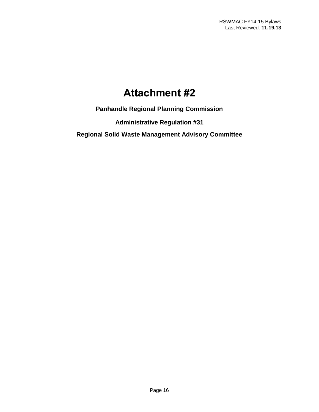## **Attachment #2**

**Panhandle Regional Planning Commission** 

**Administrative Regulation #31**

**Regional Solid Waste Management Advisory Committee**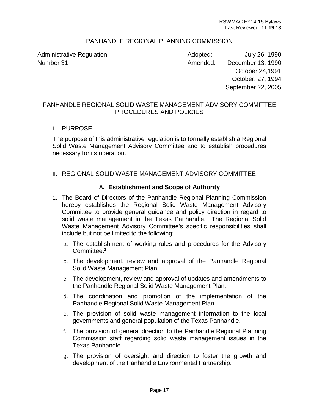#### PANHANDLE REGIONAL PLANNING COMMISSION

Administrative Regulation Adopted: July 26, 1990 Number 31 **Amended:** December 13, 1990 October 24,1991 October, 27, 1994 September 22, 2005

#### PANHANDLE REGIONAL SOLID WASTE MANAGEMENT ADVISORY COMMITTEE PROCEDURES AND POLICIES

#### I. PURPOSE

The purpose of this administrative regulation is to formally establish a Regional Solid Waste Management Advisory Committee and to establish procedures necessary for its operation.

#### II. REGIONAL SOLID WASTE MANAGEMENT ADVISORY COMMITTEE

#### **A. Establishment and Scope of Authority**

- 1. The Board of Directors of the Panhandle Regional Planning Commission hereby establishes the Regional Solid Waste Management Advisory Committee to provide general guidance and policy direction in regard to solid waste management in the Texas Panhandle. The Regional Solid Waste Management Advisory Committee's specific responsibilities shall include but not be limited to the following:
	- a. The establishment of working rules and procedures for the Advisory Committee.<sup>1</sup>
	- b. The development, review and approval of the Panhandle Regional Solid Waste Management Plan.
	- c. The development, review and approval of updates and amendments to the Panhandle Regional Solid Waste Management Plan.
	- d. The coordination and promotion of the implementation of the Panhandle Regional Solid Waste Management Plan.
	- e. The provision of solid waste management information to the local governments and general population of the Texas Panhandle.
	- f. The provision of general direction to the Panhandle Regional Planning Commission staff regarding solid waste management issues in the Texas Panhandle.
	- g. The provision of oversight and direction to foster the growth and development of the Panhandle Environmental Partnership.